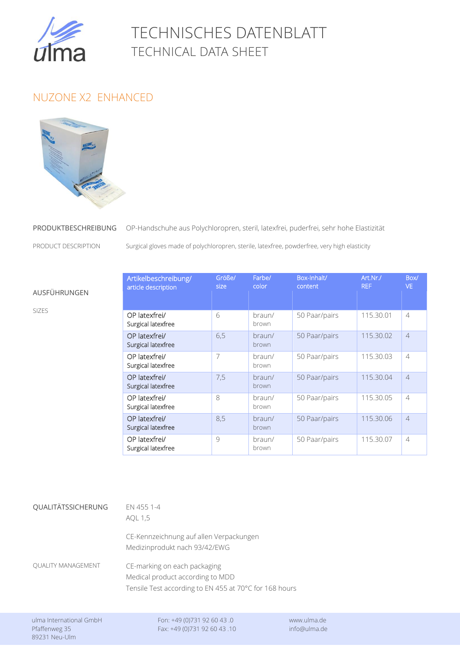

## TECHNISCHES DATENBLATT TECHNICAL DATA SHEET

## NUZONE X2 ENHANCED



## PRODUKTBESCHREIBUNG OP-Handschuhe OP-Handschuhe aus Polychloropren, steril, latexfrei, puderfrei, sehr hohe Elastizität

**PRODUCT DESCRIPTION** SU

AUSFÜHRUNGEN

SIZES

Surgical gloves made of polychloropren, sterile, latexfree, powderfree, very high elasticity

| Artikelbeschreibung/<br>article description | Größe/<br>size | Farbe/<br>color | Box-Inhalt/<br>content | Art.Nr./<br><b>REF</b> | Box/<br>VE.    |
|---------------------------------------------|----------------|-----------------|------------------------|------------------------|----------------|
| OP latexfrei/<br>Surgical latexfree         | 6              | braun/<br>brown | 50 Paar/pairs          | 115.30.01              | $\overline{4}$ |
| OP latexfrei/<br>Surgical latexfree         | 6,5            | braun/<br>brown | 50 Paar/pairs          | 115.30.02              | $\overline{4}$ |
| OP latexfrei/<br>Surgical latexfree         | $\overline{7}$ | braun/<br>brown | 50 Paar/pairs          | 115.30.03              | $\overline{4}$ |
| OP latexfrei/<br>Surgical latexfree         | 7,5            | braun/<br>brown | 50 Paar/pairs          | 115.30.04              | $\overline{4}$ |
| OP latexfrei/<br>Surgical latexfree         | 8              | braun/<br>brown | 50 Paar/pairs          | 115.30.05              | $\overline{4}$ |
| OP latexfrei/<br>Surgical latexfree         | 8,5            | braun/<br>brown | 50 Paar/pairs          | 115.30.06              | $\overline{4}$ |
| OP latexfrei/<br>Surgical latexfree         | 9              | braun/<br>brown | 50 Paar/pairs          | 115.30.07              | $\overline{4}$ |

| QUALITÄTSSICHERUNG        | EN 455 1-4<br>AOL 1,5                                                                                                      |  |  |
|---------------------------|----------------------------------------------------------------------------------------------------------------------------|--|--|
|                           | CE-Kennzeichnung auf allen Verpackungen<br>Medizinprodukt nach 93/42/EWG                                                   |  |  |
| <b>OUALITY MANAGEMENT</b> | CE-marking on each packaging<br>Medical product according to MDD<br>Tensile Test according to EN 455 at 70°C for 168 hours |  |  |
|                           |                                                                                                                            |  |  |

ulma International GmbH Fon: +49 (0)731 92 60 43 .0 www.ulma.de Pfaffenweg 35 Fax: +49 (0)731 92 60 43 .10 info@ulma.de